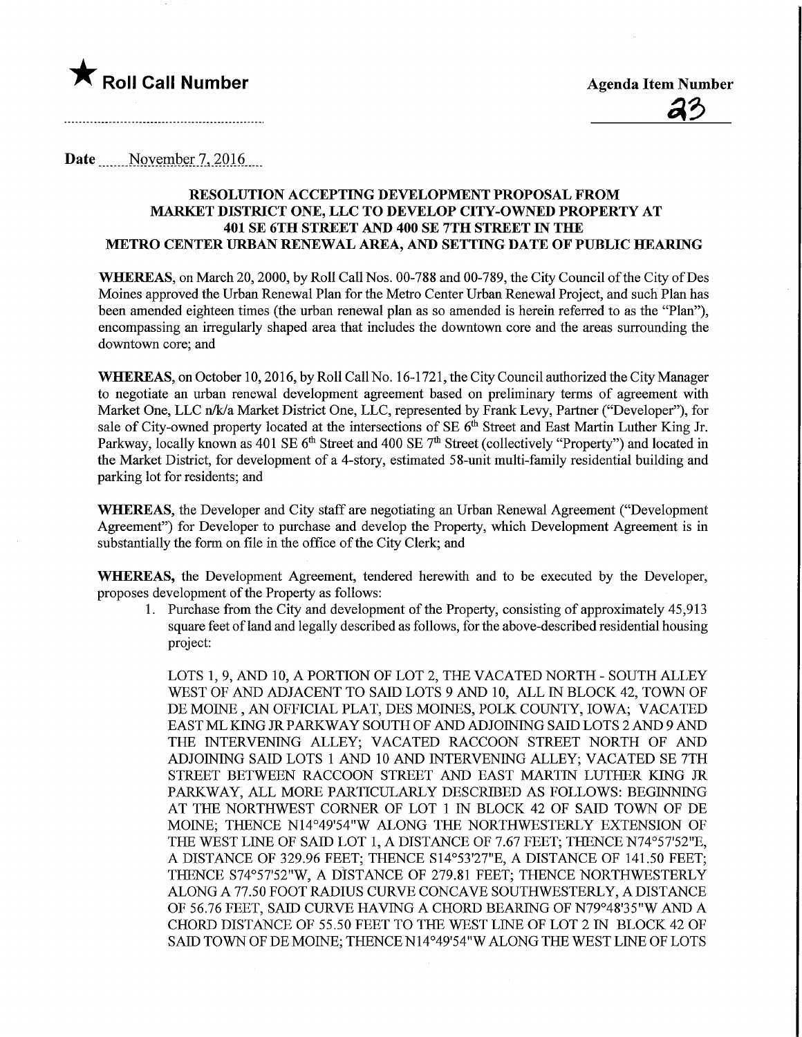

Date November 7, 2016

#### RESOLUTION ACCEPTING DEVELOPMENT PROPOSAL FROM MARKET DISTRICT ONE, LLC TO DEVELOP CITY-OWNED PROPERTY AT 401 SE 6TH STREET AND 400 SE 7TH STREET IN THE METRO CENTER URBAN RENEWAL AREA, AND SETTING DATE OF PUBLIC HEAREW

WHEREAS, on March 20, 2000, by Roll Call Nos. 00-788 and 00-789, the City Council of the City of Des Moines approved the Urban Renewal Plan for the Metro Center Urban Renewal Project, and such Plan has been amended eighteen times (the urban renewal plan as so amended is herein referred to as the "Plan"), encompassing an irregularly shaped area that includes the downtown core and the areas surrounding the downtown core; and

WHEREAS, on October 10, 2016, by Roll Call No. 16-1721, the City Council authorized the City Manager to negotiate an urban renewal development agreement based on preliminary tenns of agreement with Market One, LLC n/k/a Market District One, LLC, represented by Frank Levy, Partner ("Developer"), for sale of City-owned property located at the intersections of SE 6<sup>th</sup> Street and East Martin Luther King Jr. Parkway, locally known as 401 SE 6<sup>th</sup> Street and 400 SE 7<sup>th</sup> Street (collectively "Property") and located in the Market District, for development of a 4-story, estimated 58-unit multi-family residential building and parking lot for residents; and

WHEREAS, the Developer and City staff are negotiating an Urban Renewal Agreement ("Development Agreement") for Developer to purchase and develop the Property, which Development Agreement is m substantially the form on file in the office of the City Clerk; and

WHEREAS, the Development Agreement, tendered herewith and to be executed by the Developer, proposes development of the Property as follows:

1. Purchase from the City and development of the Property, consisting of approximately 45,913 square feet of land and legally described as follows, for the above-described residential housing project:

LOTS 1, 9, AND 10, A PORTION OF LOT 2, THE VACATED NORTH - SOUTH ALLEY WEST OF AND ADJACENT TO SAID LOTS 9 AND 10, ALL IN BLOCK 42, TOWN OF DE MOINE , AN OFFICIAL PLAT, DES MOINES, POLK COUNTY, IOWA; VACATED EAST ML KING JR PARKWAY SOUTH OF AND ADJOINING SAID LOTS 2 AND 9 AND THE INTERVENING ALLEY; VACATED RACCOON STREET NORTH OF AND ADJOINING SAID LOTS 1 AND 10 AND INTERVENING ALLEY; VACATED SE 7TH STREET BETWEEN RACCOON STREET AND EAST MARTIN LUTHER KING JR PARKWAY, ALL MORE PARTICULARLY DESCRIBED AS FOLLOWS: BEGINNING AT THE NORTHWEST CORNER OF LOT 1 IN BLOCK 42 OF SAID TOWN OF DE MOINE; THENCE N14°49'54"W ALONG THE NORTHWESTERLY EXTENSION OF THE WEST LINE OF SAID LOT 1, A DISTANCE OF 7.67 FEET; THENCE N74°57'52"E, A DISTANCE OF 329.96 FEET; THENCE S14°53'27"E, A DISTANCE OF 141.50 FEET; THENCE S74°57'52"W, A DISTANCE OF 279.81 FEET; THENCE NORTHWESTERLY ALONG A 77.50 FOOT RADIUS CURVE CONCAVE SOUTHWESTERLY, A DISTANCE OF 56.76 FEET, SAID CURVE RAVING A CHORD BEARING OF N79°48'35"W AND A CHORD DISTANCE OF 55.50 FEET TO THE WEST LINE OF LOT 2 IN BLOCK 42 OF SAID TOWN OF DE MOINE; THENCE N14°49'54"W ALONG THE WEST LINE OF LOTS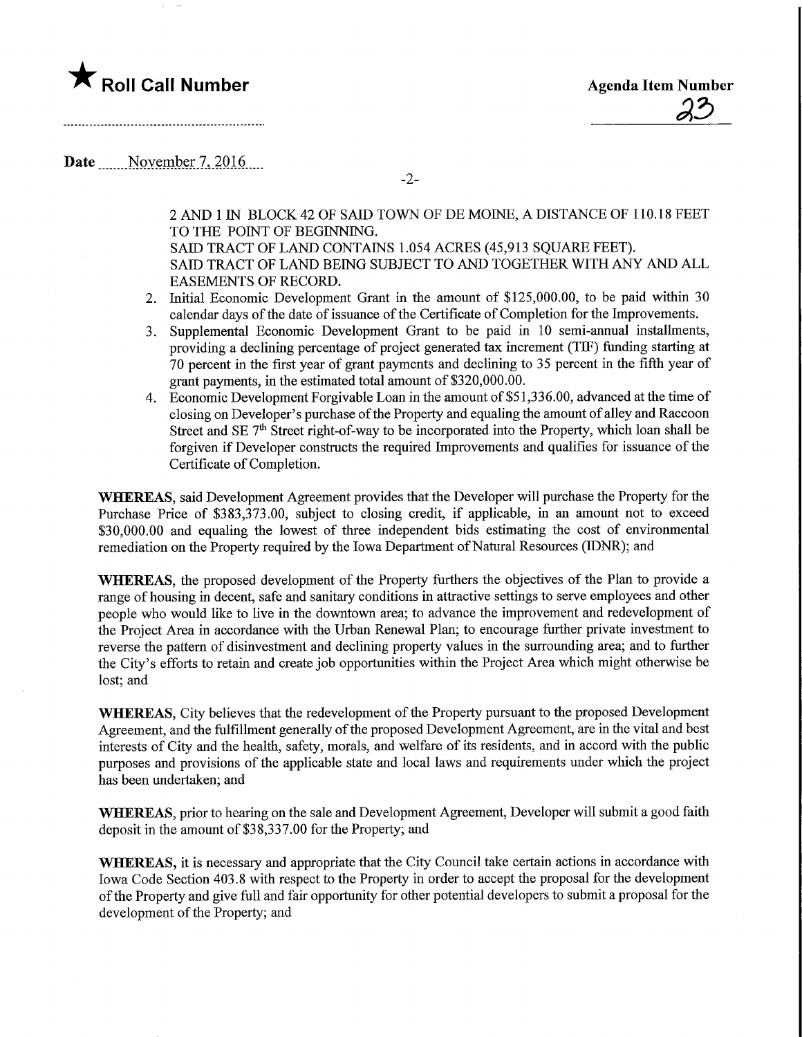### $\bigstar$  Roll Call Number

**Agenda Item Number** 

Date November 7, 2016.

2 AND 1 IN BLOCK 42 OF SAID TOWN OF DE MOINE, A DISTANCE OF 110.18 FEET TO THE POINT OF BEGINNING.

SAID TRACT OF LAND CONTAINS 1.054 ACRES (45,913 SQUARE FEET). SAID TRACT OF LAND BEING SUBJECT TO AND TOGETHER WITH ANY AND ALL EASEMENTS OF RECORD.

- 2. Initial Economic Development Grant in the amount of \$125,000.00, to be paid within 30 calendar days of the date of issuance of the Certificate of Completion for the Improvements.
- 3. Supplemental Economic Development Grant to be paid in 10 semi-annual installments, providing a declming percentage of project generated tax increment (TH7) funding starting at 70 percent in the first year of grant payments and declining to 35 percent in the fifth year of grant payments, in the estimated total amount of \$320,000.00.
- 4. Economic Development Forgivable Loan in the amount of \$51,336.00, advanced at the time of closing on Developer's purchase of the Property and equaling the amount of alley and Raccoon Street and SE  $7<sup>th</sup>$  Street right-of-way to be incorporated into the Property, which loan shall be forgiven if Developer constructs the required Improvements and qualifies for issuance of the Certificate of Completion.

WHEREAS, said Development Agreement provides that the Developer will purchase the Property for the Purchase Price of \$383,373.00, subject to closing credit, if applicable, m an amount not to exceed \$30,000.00 and equaling the lowest of three independent bids estimating the cost of environmental remediation on the Property required by the Iowa Department of Natural Resources (DDNR); and

WHEREAS, the proposed development of the Property furthers the objectives of the Plan to provide a range of housing in decent, safe and sanitary conditions in attractive settings to serve employees and other people who would like to live in the downtown area; to advance the improvement and redevelopment of the Project Area in accordance with the Urban Renewal Plan; to encourage further private investment to reverse the pattern of disinvestment and declining property values in the surrounding area; and to further the City's efforts to retain and create job opportunities within the Project Area which might otherwise be lost; and

WHEREAS, City believes that the redevelopment of the Property pursuant to the proposed Development Agreement, and the fulfilhnent generally of the proposed Development Agreement, are in the vital and best interests of City and the health, safety, morals, and welfare of its residents, and in accord with the public purposes and provisions of the applicable state and local laws and requirements under which the project has been undertaken; and

WHEREAS, prior to hearing on the sale and Development Agreement, Developer will submit a good faith deposit in the amount of \$38,337.00 for the Property; and

WHEREAS, it is necessary and appropriate that the City Council take certain actions in accordance with Iowa Code Section 403.8 with respect to the Property in order to accept the proposal for the development of the Property and give full and fair opportunity for other potential developers to submit a proposal for the development of the Property; and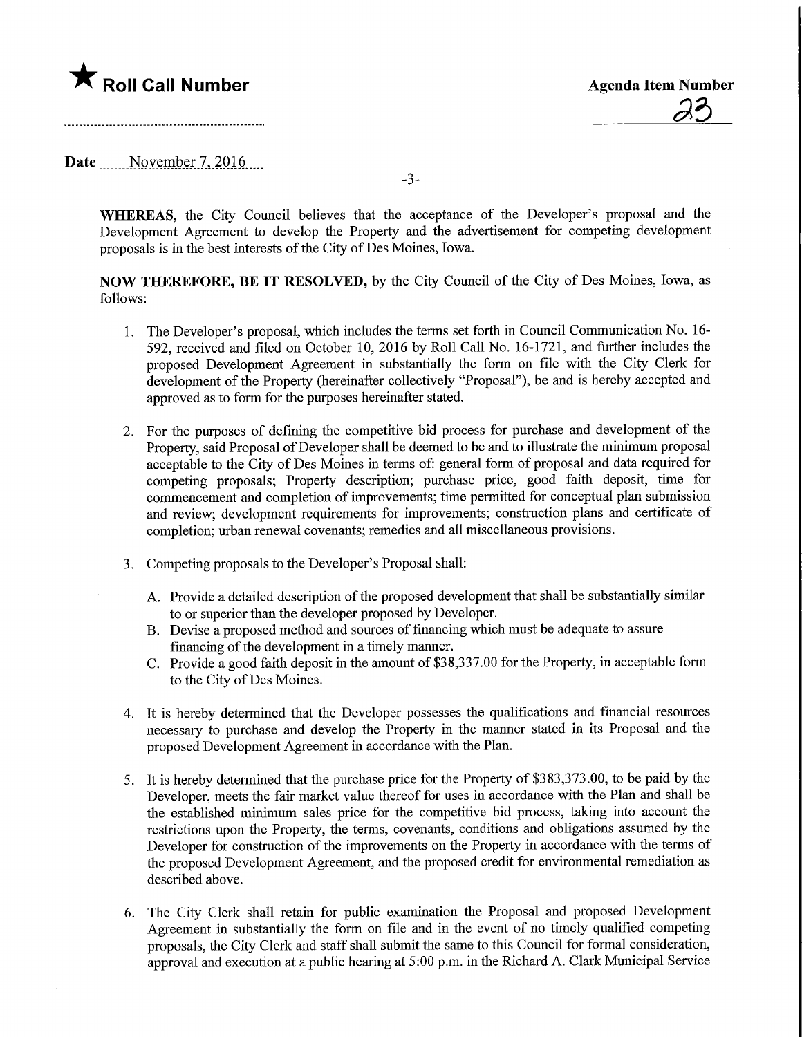# $\bigstar$  Roll Call Number

**Agenda Item Number** 

Date November 7, 2016

-3-

WHEREAS, the City Council believes that the acceptance of the Developer's proposal and the Development Agreement to develop the Property and the advertisement for competing development proposals is in the best interests of the City of Des Moines, Iowa.

NOW THEREFORE, BE IT RESOLVED, by the City Council of the City of Des Moines, Iowa, as follows:

- 1. The Developer's proposal, which includes the terms set forth in Council Communication No. 16- 592, received and filed on October 10, 2016 by Roll Call No. 16-1721, and further includes the proposed Development Agreement in substantially the form on file with the City Clerk for development of the Property (hereinafter collectively "Proposal"), be and is hereby accepted and approved as to form for the purposes hereinafter stated.
- 2. For the purposes of defining the competitive bid process for purchase and development of the Property, said Proposal of Developer shall be deemed to be and to illustrate the minimum proposal acceptable to the City of Des Moines in terms of: general form of proposal and data required for competmg proposals; Property description; purchase price, good faith deposit, time for commencement and completion of improvements; time permitted for conceptual plan submission and review; development requirements for improvements; construction plans and certificate of completion; urban renewal covenants; remedies and all miscellaneous provisions.
- 3. Competing proposals to the Developer's Proposal shall:
	- A. Provide a detailed description of the proposed development that shall be substantially similar to or superior than the developer proposed by Developer.
	- B. Devise a proposed method and sources of financing which must be adequate to assure financing of the development in a timely manner.
	- C. Provide a good faith deposit in the amount of \$38,337.00 for the Property, in acceptable form to the City of Des Moines.
- 4. It is hereby determined that the Developer possesses the qualifications and financial resources necessary to purchase and develop the Property in the manner stated in its Proposal and the proposed Development Agreement in accordance with the Plan.
- 5. It is hereby determined that the purchase price for the Property of \$383,373.00, to be paid by the Developer, meets the fair market value thereof for uses in accordance with the Plan and shall be the established minimum sales price for the competitive bid process, taking into account the restrictions upon the Property, the terms, covenants, conditions and obligations assumed by the Developer for construction of the improvements on the Property in accordance with the terms of the proposed Development Agreement, and the proposed credit for environmental remediation as described above.
- 6. The City Clerk shall retain for public examination the Proposal and proposed Development Agreement in substantially the form on file and in the event of no timely qualified competing proposals, the City Clerk and staff shall submit the same to this Council for formal consideration, approval and execution at a public hearing at 5:00 p.m. in the Richard A. Clark Municipal Service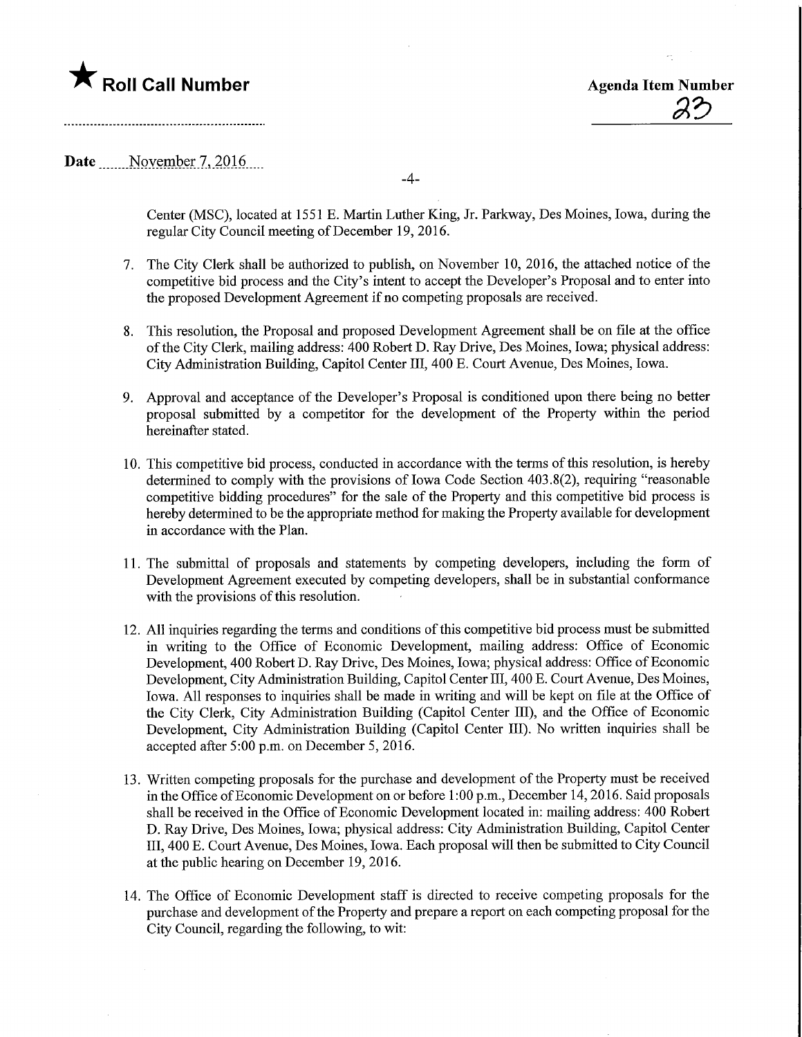# **The Roll Call Number Agents Container Agents Item Number**

23

### Date November 7, 2016

-4-

Center (MSC), located at 1551 E. Martin Luther King, Jr. Parkway, Des Moines, Iowa, during the regular City Council meeting of December 19,2016.

- 7. The City Clerk shall be authorized to publish, on November 10, 2016, the attached notice of the competitive bid process and the City's intent to accept the Developer's Proposal and to enter into the proposed Development Agreement if no competing proposals are received.
- 8. This resolution, the Proposal and proposed Development Agreement shall be on file at the office of the City Clerk, mailing address: 400 Robert D. Ray Drive, Des Moines, Iowa; physical address: City Administration Building, Capitol Center III, 400 E. Court Avenue, Des Momes, Iowa.
- 9. Approval and acceptance of the Developer's Proposal is conditioned upon there being no better proposal submitted by a competitor for the development of the Property within the period hereinafter stated.
- 10. This competitive bid process, conducted in accordance with the terms of this resolution, is hereby determined to comply with the provisions of Iowa Code Section 403.8(2), requiring "reasonable competitive bidding procedures" for the sale of the Property and this competitive bid process is hereby determined to be the appropriate method for making the Property available for development in accordance with the Plan.
- 11. The submittal of proposals and statements by competing developers, including the form of Development Agreement executed by competing developers, shall be in substantial conformance with the provisions of this resolution.
- 12. All inquiries regarding the terms and conditions of this competitive bid process must be submitted in writing to the Office of Economic Development, mailing address: Office of Economic Development, 400 Robert D. Ray Drive, Des Moines, Iowa; physical address: Office of Economic Development, City Administration Building, Capitol Center III, 400 E. Court Avenue, Des Moines, Iowa. All responses to inquiries shall be made in writing and will be kept on file at the Office of the City Clerk, City Administration Building (Capitol Center ffl), and the Office of Economic Development, City Administration Building (Capitol Center III). No written inquiries shall be accepted after 5:00 p.m. on December 5, 2016.
- 13. Written competing proposals for the purchase and development of the Property must be received in the Office of Economic Development on or before 1:00 p.m., December 14,2016. Said proposals shall be received in the Office of Economic Development located in: mailing address: 400 Robert D. Ray Drive, Des Moines, Iowa; physical address: City Administration Building, Capitol Center Ill, 400 E. Court Avenue, Des Moines, Iowa. Each proposal will then be submitted to City Council at the public hearing on December 19, 2016.
- 14. The Office of Economic Development staff is directed to receive competing proposals for the purchase and development of the Property and prepare a report on each competing proposal for the City Council, regarding the following, to wit: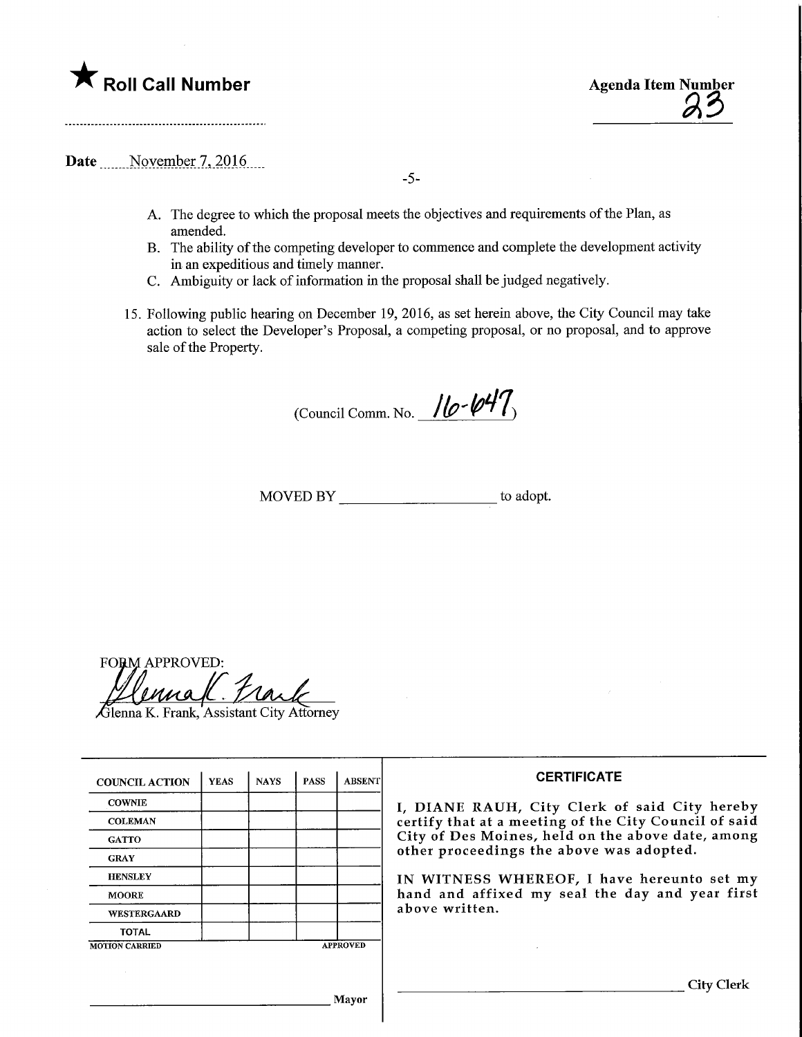# $\blacksquare$  Roll Call Number  $\blacksquare$   $\blacksquare$   $\blacksquare$   $\blacksquare$   $\blacksquare$   $\blacksquare$   $\blacksquare$   $\blacksquare$   $\blacksquare$   $\blacksquare$   $\blacksquare$   $\blacksquare$   $\blacksquare$   $\blacksquare$   $\blacksquare$   $\blacksquare$   $\blacksquare$   $\blacksquare$   $\blacksquare$   $\blacksquare$   $\blacksquare$   $\blacksquare$   $\blacksquare$   $\blacksquare$   $\blacksquare$   $\blacksquare$   $\blacksquare$   $\blacksquare$



Date November 7, 2016

-5-

- A. The degree to which the proposal meets the objectives and requirements of the Plan, as amended.
- B. The ability of the competing developer to commence and complete the development activity in an expeditious and timely manner.
- C. Ambiguity or lack of information in the proposal shall be judged negatively.
- 15. Following public hearing on December 19, 2016, as set herein above, the City Council may take action to select the Developer's Proposal, a competing proposal, or no proposal, and to approve sale of the Property.

(Council Comm. No.  $10 - 10$ 

MOVED BY to adopt.

FO&M APPROVED:

 $\widehat{G}$ lenna K. Frank, Assistant City Attorney

| <b>COUNCIL ACTION</b> | <b>YEAS</b>     | <b>NAYS</b> | <b>PASS</b> | <b>ABSENT</b> |
|-----------------------|-----------------|-------------|-------------|---------------|
| <b>COWNIE</b>         |                 |             |             |               |
| <b>COLEMAN</b>        |                 |             |             |               |
| <b>GATTO</b>          |                 |             |             |               |
| <b>GRAY</b>           |                 |             |             |               |
| <b>HENSLEY</b>        |                 |             |             |               |
| <b>MOORE</b>          |                 |             |             |               |
| WESTERGAARD           |                 |             |             |               |
| <b>TOTAL</b>          |                 |             |             |               |
| <b>MOTION CARRIED</b> | <b>APPROVED</b> |             |             |               |

Mayor

#### **CERTIFICATE**

I, DIANE RAUH, City Clerk of said City hereby certify that at a meeting of the City Council of said City of Des Moines, held on the above date, among other proceedings the above was adopted.

IN WITNESS WHEREOF, I have hereunto set my hand and affixed my seal the day and year first above written.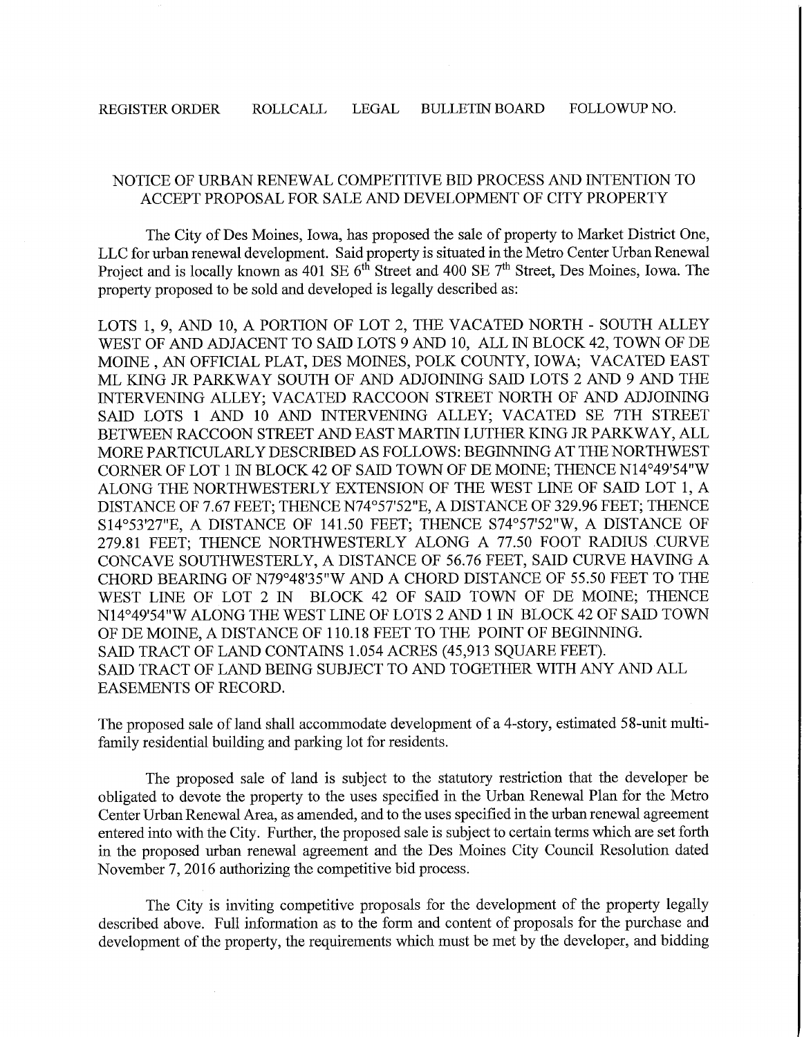### NOTICE OF URBAN RENEWAL COMPETITIVE BID PROCESS AND INTENTION TO ACCEPT PROPOSAL FOR SALE AND DEVELOPMENT OF CITY PROPERTY

The City of Des Moines, Iowa, has proposed the sale of property to Market District One, LLC for urban renewal development. Said property is situated in the Metro Center Urban Renewal Project and is locally known as 401 SE 6<sup>th</sup> Street and 400 SE 7<sup>th</sup> Street, Des Moines, Iowa. The property proposed to be sold and developed is legally described as:

LOTS 1, 9, AND 10, A PORTION OF LOT 2, THE VACATED NORTH - SOUTH ALLEY WEST OF AND ADJACENT TO SAID LOTS 9 AND 10, ALL IN BLOCK 42, TOWN OF DE MOINE , AN OFFICIAL PLAT, DES MOINES, POLK COUNTY, IOWA; VACATED EAST ML KJNG JR PARKWAY SOUTH OF AND ADJOINING SAID LOTS 2 AND 9 AND THE INTERVENING ALLEY; VACATED RACCOON STREET NORTH OF AND ADJOINING SAID LOTS 1 AND 10 AND INTERVENING ALLEY; VACATED SE 7TH STREET BETWEEN RACCOON STREET AND EAST MARTIN LUTHER KING JR PARKWAY, ALL MORE PARTICULARLY DESCRIBED AS FOLLOWS: BEGINNING AT THE NORTHWEST CORNER OF LOT 1 IN BLOCK 42 OF SAID TOWN OF DE MOINE; THENCE N14°49'54"W ALONG THE NORTHWESTERLY EXTENSION OF THE WEST LINE OF SAID LOT 1, A DISTANCE OF 7.67 FEET; THENCE N74°57'52"E, A DISTANCE OF 329.96 FEET; THENCE S14°53'27"E, A DISTANCE OF 141.50 FEET; THENCE S74°57'52"W, A DISTANCE OF 279.81 FEET; THENCE NORTHWESTERLY ALONG A 77.50 FOOT RADIUS CURVE CONCAVE SOUTHWESTERLY, A DISTANCE OF 56.76 FEET, SAID CURVE HAVING A CHORD BEARING OF N79°48'35"W AND A CHORD DISTANCE OF 55.50 FEET TO THE WEST LINE OF LOT 2 IN BLOCK 42 OF SAID TOWN OF DE MOINE; THENCE N14°49'54"W ALONG THE WEST LINE OF LOTS 2 AND 1 IN BLOCK 42 OF SAID TOWN OF DE MOINE, A DISTANCE OF 110.18 FEET TO THE POINT OF BEGINNING. SAID TRACT OF LAND CONTAINS 1.054 ACRES (45,913 SQUARE FEET). SAID TRACT OF LAND BEING SUBJECT TO AND TOGETHER WITH ANY AND ALL EASEMENTS OF RECORD.

The proposed sale of land shall accommodate development of a 4-story, estimated 58-unit multifamily residential building and parking lot for residents.

The proposed sale of land is subject to the statutory restriction that the developer be obligated to devote the property to the uses specified in the Urban Renewal Plan for the Metro Center Urban Renewal Area, as amended, and to the uses specified in the urban renewal agreement entered into with the City. Further, the proposed sale is subject to certain terms which are set forth in the proposed urban renewal agreement and the Des Moines City Council Resolution dated November 7, 2016 authorizing the competitive bid process.

The City is inviting competitive proposals for the development of the property legally described above. Full information as to the form and content of proposals for the purchase and development of the property, the requirements which must be met by the developer, and bidding